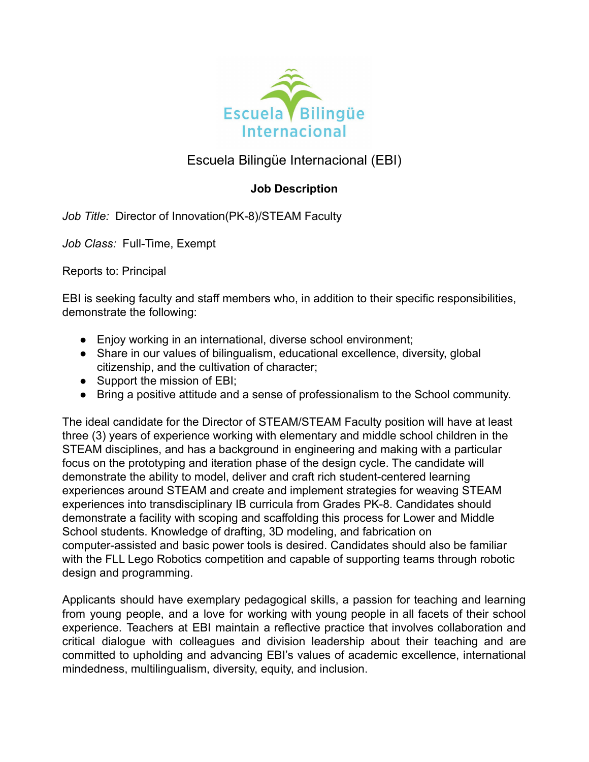

# Escuela Bilingüe Internacional (EBI)

# **Job Description**

*Job Title:* Director of Innovation(PK-8)/STEAM Faculty

*Job Class:* Full-Time, Exempt

Reports to: Principal

EBI is seeking faculty and staff members who, in addition to their specific responsibilities, demonstrate the following:

- Enjoy working in an international, diverse school environment;
- Share in our values of bilingualism, educational excellence, diversity, global citizenship, and the cultivation of character;
- Support the mission of EBI;
- Bring a positive attitude and a sense of professionalism to the School community.

The ideal candidate for the Director of STEAM/STEAM Faculty position will have at least three (3) years of experience working with elementary and middle school children in the STEAM disciplines, and has a background in engineering and making with a particular focus on the prototyping and iteration phase of the design cycle. The candidate will demonstrate the ability to model, deliver and craft rich student-centered learning experiences around STEAM and create and implement strategies for weaving STEAM experiences into transdisciplinary IB curricula from Grades PK-8. Candidates should demonstrate a facility with scoping and scaffolding this process for Lower and Middle School students. Knowledge of drafting, 3D modeling, and fabrication on computer-assisted and basic power tools is desired. Candidates should also be familiar with the FLL Lego Robotics competition and capable of supporting teams through robotic design and programming.

Applicants should have exemplary pedagogical skills, a passion for teaching and learning from young people, and a love for working with young people in all facets of their school experience. Teachers at EBI maintain a reflective practice that involves collaboration and critical dialogue with colleagues and division leadership about their teaching and are committed to upholding and advancing EBI's values of academic excellence, international mindedness, multilingualism, diversity, equity, and inclusion.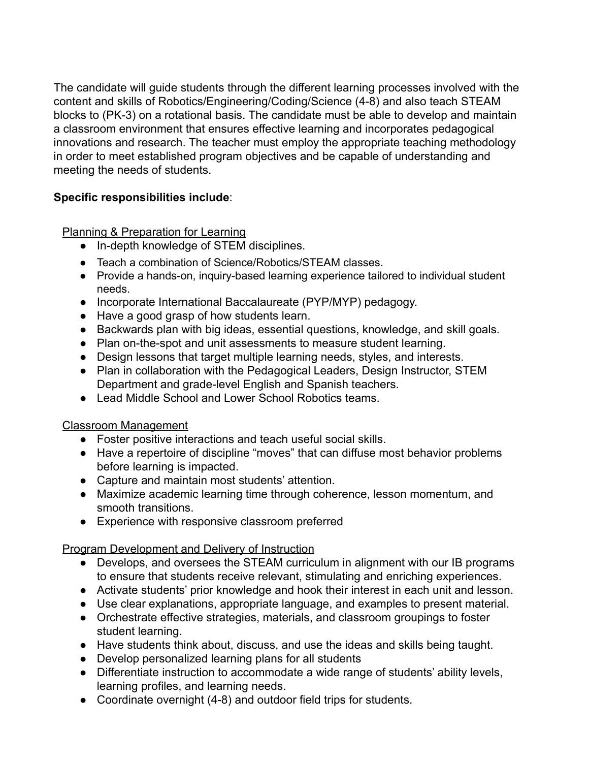The candidate will guide students through the different learning processes involved with the content and skills of Robotics/Engineering/Coding/Science (4-8) and also teach STEAM blocks to (PK-3) on a rotational basis. The candidate must be able to develop and maintain a classroom environment that ensures effective learning and incorporates pedagogical innovations and research. The teacher must employ the appropriate teaching methodology in order to meet established program objectives and be capable of understanding and meeting the needs of students.

# **Specific responsibilities include**:

Planning & Preparation for Learning

- In-depth knowledge of STEM disciplines.
- Teach a combination of Science/Robotics/STEAM classes.
- Provide a hands-on, inquiry-based learning experience tailored to individual student needs.
- Incorporate International Baccalaureate (PYP/MYP) pedagogy.
- Have a good grasp of how students learn.
- Backwards plan with big ideas, essential questions, knowledge, and skill goals.
- Plan on-the-spot and unit assessments to measure student learning.
- Design lessons that target multiple learning needs, styles, and interests.
- Plan in collaboration with the Pedagogical Leaders, Design Instructor, STEM Department and grade-level English and Spanish teachers.
- Lead Middle School and Lower School Robotics teams.

# Classroom Management

- Foster positive interactions and teach useful social skills.
- Have a repertoire of discipline "moves" that can diffuse most behavior problems before learning is impacted.
- Capture and maintain most students' attention.
- Maximize academic learning time through coherence, lesson momentum, and smooth transitions.
- Experience with responsive classroom preferred

# Program Development and Delivery of Instruction

- Develops, and oversees the STEAM curriculum in alignment with our IB programs to ensure that students receive relevant, stimulating and enriching experiences.
- Activate students' prior knowledge and hook their interest in each unit and lesson.
- Use clear explanations, appropriate language, and examples to present material.
- Orchestrate effective strategies, materials, and classroom groupings to foster student learning.
- Have students think about, discuss, and use the ideas and skills being taught.
- Develop personalized learning plans for all students
- Differentiate instruction to accommodate a wide range of students' ability levels, learning profiles, and learning needs.
- Coordinate overnight (4-8) and outdoor field trips for students.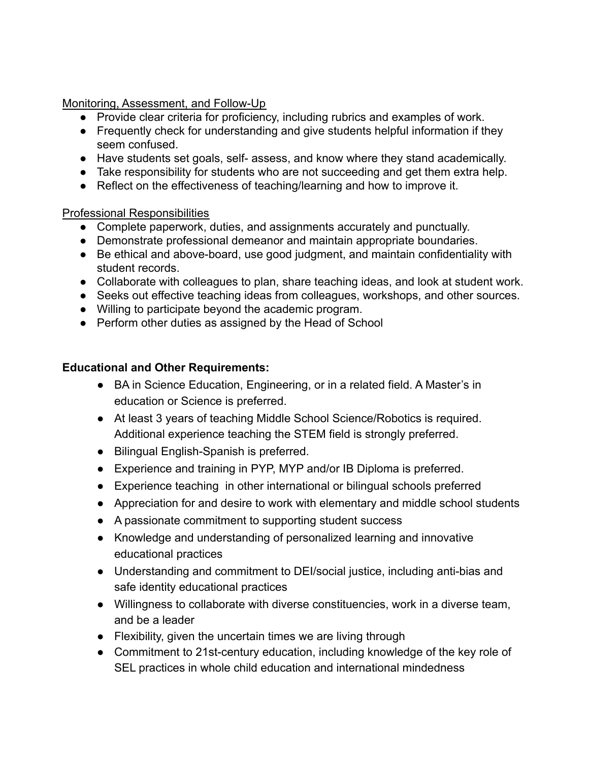Monitoring, Assessment, and Follow-Up

- Provide clear criteria for proficiency, including rubrics and examples of work.
- Frequently check for understanding and give students helpful information if they seem confused.
- Have students set goals, self- assess, and know where they stand academically.
- Take responsibility for students who are not succeeding and get them extra help.
- Reflect on the effectiveness of teaching/learning and how to improve it.

#### Professional Responsibilities

- Complete paperwork, duties, and assignments accurately and punctually.
- Demonstrate professional demeanor and maintain appropriate boundaries.
- Be ethical and above-board, use good judgment, and maintain confidentiality with student records.
- Collaborate with colleagues to plan, share teaching ideas, and look at student work.
- Seeks out effective teaching ideas from colleagues, workshops, and other sources.
- Willing to participate beyond the academic program.
- Perform other duties as assigned by the Head of School

#### **Educational and Other Requirements:**

- BA in Science Education, Engineering, or in a related field. A Master's in education or Science is preferred.
- At least 3 years of teaching Middle School Science/Robotics is required. Additional experience teaching the STEM field is strongly preferred.
- Bilingual English-Spanish is preferred.
- Experience and training in PYP, MYP and/or IB Diploma is preferred.
- Experience teaching in other international or bilingual schools preferred
- Appreciation for and desire to work with elementary and middle school students
- A passionate commitment to supporting student success
- Knowledge and understanding of personalized learning and innovative educational practices
- Understanding and commitment to DEI/social justice, including anti-bias and safe identity educational practices
- Willingness to collaborate with diverse constituencies, work in a diverse team, and be a leader
- Flexibility, given the uncertain times we are living through
- Commitment to 21st-century education, including knowledge of the key role of SEL practices in whole child education and international mindedness